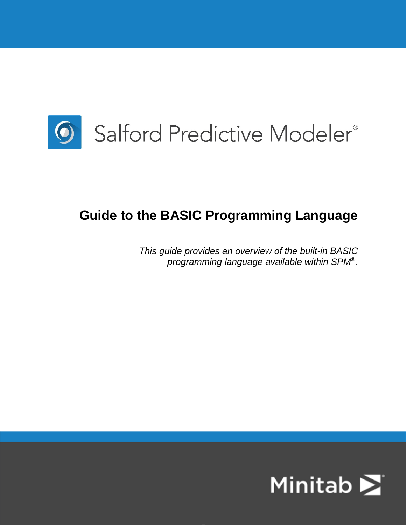

# **Guide to the BASIC Programming Language**

*This guide provides an overview of the built-in BASIC programming language available within SPM®.*

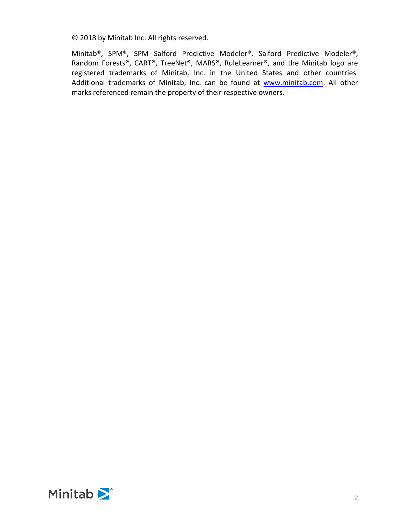© 2018 by Minitab Inc. All rights reserved.

Minitab®, SPM®, SPM Salford Predictive Modeler®, Salford Predictive Modeler®, Random Forests®, CART®, TreeNet®, MARS®, RuleLearner®, and the Minitab logo are registered trademarks of Minitab, Inc. in the United States and other countries. Additional trademarks of Minitab, Inc. can be found at [www.minitab.com.](www.minitab.com) All other marks referenced remain the property of their respective owners.

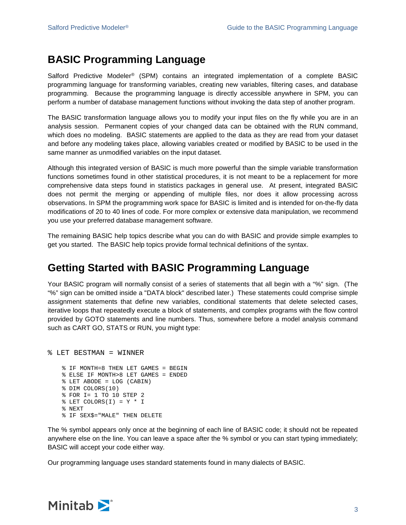## **BASIC Programming Language**

Salford Predictive Modeler® (SPM) contains an integrated implementation of a complete BASIC programming language for transforming variables, creating new variables, filtering cases, and database programming. Because the programming language is directly accessible anywhere in SPM, you can perform a number of database management functions without invoking the data step of another program.

The BASIC transformation language allows you to modify your input files on the fly while you are in an analysis session. Permanent copies of your changed data can be obtained with the RUN command, which does no modeling. BASIC statements are applied to the data as they are read from your dataset and before any modeling takes place, allowing variables created or modified by BASIC to be used in the same manner as unmodified variables on the input dataset.

Although this integrated version of BASIC is much more powerful than the simple variable transformation functions sometimes found in other statistical procedures, it is not meant to be a replacement for more comprehensive data steps found in statistics packages in general use. At present, integrated BASIC does not permit the merging or appending of multiple files, nor does it allow processing across observations. In SPM the programming work space for BASIC is limited and is intended for on-the-fly data modifications of 20 to 40 lines of code. For more complex or extensive data manipulation, we recommend you use your preferred database management software.

The remaining BASIC help topics describe what you can do with BASIC and provide simple examples to get you started. The BASIC help topics provide formal technical definitions of the syntax.

## **Getting Started with BASIC Programming Language**

Your BASIC program will normally consist of a series of statements that all begin with a "%" sign. (The "%" sign can be omitted inside a "DATA block" described later.) These statements could comprise simple assignment statements that define new variables, conditional statements that delete selected cases, iterative loops that repeatedly execute a block of statements, and complex programs with the flow control provided by GOTO statements and line numbers. Thus, somewhere before a model analysis command such as CART GO, STATS or RUN, you might type:

% LET BESTMAN = WINNER

```
% IF MONTH=8 THEN LET GAMES = BEGIN
% ELSE IF MONTH>8 LET GAMES = ENDED
% LET ABODE = LOG (CABIN)
% DIM COLORS(10)
% FOR I= 1 TO 10 STEP 2
EIT COLORS(I) = Y * I% NEXT
% IF SEX$="MALE" THEN DELETE
```
The % symbol appears only once at the beginning of each line of BASIC code; it should not be repeated anywhere else on the line. You can leave a space after the % symbol or you can start typing immediately; BASIC will accept your code either way.

Our programming language uses standard statements found in many dialects of BASIC.

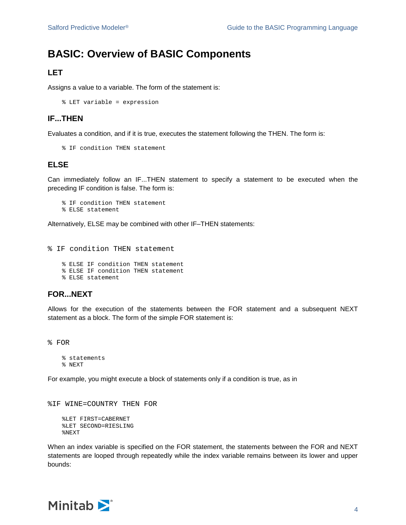## **BASIC: Overview of BASIC Components**

## **LET**

Assigns a value to a variable. The form of the statement is:

% LET variable = expression

### **IF...THEN**

Evaluates a condition, and if it is true, executes the statement following the THEN. The form is:

% IF condition THEN statement

### **ELSE**

Can immediately follow an IF...THEN statement to specify a statement to be executed when the preceding IF condition is false. The form is:

% IF condition THEN statement % ELSE statement

Alternatively, ELSE may be combined with other IF–THEN statements:

% IF condition THEN statement

% ELSE IF condition THEN statement % ELSE IF condition THEN statement % ELSE statement

## **FOR...NEXT**

Allows for the execution of the statements between the FOR statement and a subsequent NEXT statement as a block. The form of the simple FOR statement is:

% FOR

```
% statements
% NEXT
```
For example, you might execute a block of statements only if a condition is true, as in

%IF WINE=COUNTRY THEN FOR

```
%LET FIRST=CABERNET
%LET SECOND=RIESLING
%NEXT
```
When an index variable is specified on the FOR statement, the statements between the FOR and NEXT statements are looped through repeatedly while the index variable remains between its lower and upper bounds:

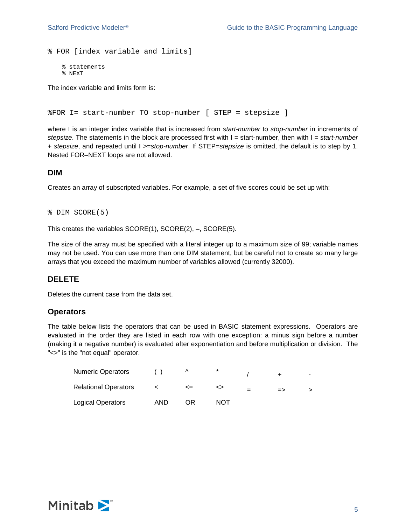```
% FOR [index variable and limits]
```

```
% statements
% NEXT
```
The index variable and limits form is:

```
%FOR I= start-number TO stop-number [ STEP = stepsize ]
```
where I is an integer index variable that is increased from *start-number* to *stop-number* in increments of *stepsize*. The statements in the block are processed first with I = start-number, then with I = *start-number* + *stepsize*, and repeated until I >=*stop-number*. If STEP=*stepsize* is omitted, the default is to step by 1. Nested FOR–NEXT loops are not allowed.

#### **DIM**

Creates an array of subscripted variables. For example, a set of five scores could be set up with:

```
% DIM SCORE(5)
```
This creates the variables SCORE(1), SCORE(2), –, SCORE(5).

The size of the array must be specified with a literal integer up to a maximum size of 99; variable names may not be used. You can use more than one DIM statement, but be careful not to create so many large arrays that you exceed the maximum number of variables allowed (currently 32000).

### **DELETE**

Deletes the current case from the data set.

#### **Operators**

The table below lists the operators that can be used in BASIC statement expressions. Operators are evaluated in the order they are listed in each row with one exception: a minus sign before a number (making it a negative number) is evaluated after exponentiation and before multiplication or division. The "<>" is the "not equal" operator.

| <b>Numeric Operators</b>    |      | $\Lambda$ | $\ast$ |               | - |
|-----------------------------|------|-----------|--------|---------------|---|
| <b>Relational Operators</b> |      | <=        |        | $\Rightarrow$ |   |
| Logical Operators           | AND. | ΩR        | NOT    |               |   |

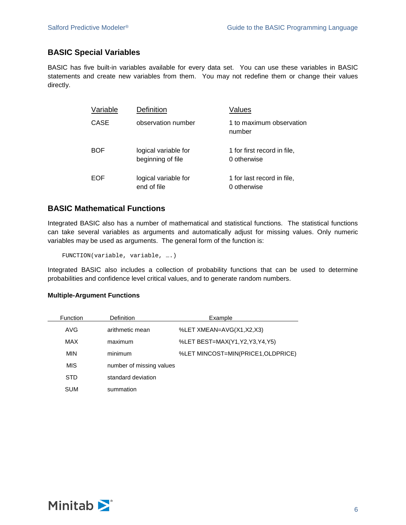## **BASIC Special Variables**

BASIC has five built-in variables available for every data set. You can use these variables in BASIC statements and create new variables from them. You may not redefine them or change their values directly.

| Variable | Definition                                | Values                                     |
|----------|-------------------------------------------|--------------------------------------------|
| CASE     | observation number                        | 1 to maximum observation<br>number         |
| BOF      | logical variable for<br>beginning of file | 1 for first record in file,<br>0 otherwise |
| EOF      | logical variable for<br>end of file       | 1 for last record in file,<br>0 otherwise  |

## **BASIC Mathematical Functions**

Integrated BASIC also has a number of mathematical and statistical functions. The statistical functions can take several variables as arguments and automatically adjust for missing values. Only numeric variables may be used as arguments. The general form of the function is:

FUNCTION(variable, variable, ….)

Integrated BASIC also includes a collection of probability functions that can be used to determine probabilities and confidence level critical values, and to generate random numbers.

#### **Multiple-Argument Functions**

| Function   | <b>Definition</b>  | Example                            |  |  |
|------------|--------------------|------------------------------------|--|--|
| AVG        | arithmetic mean    | %LET XMEAN=AVG(X1,X2,X3)           |  |  |
| <b>MAX</b> | maximum            | %LET BEST=MAX(Y1,Y2,Y3,Y4,Y5)      |  |  |
| <b>MIN</b> | minimum            | %LET MINCOST=MIN(PRICE1, OLDPRICE) |  |  |
| <b>MIS</b> |                    | number of missing values           |  |  |
| <b>STD</b> | standard deviation |                                    |  |  |
| <b>SUM</b> | summation          |                                    |  |  |

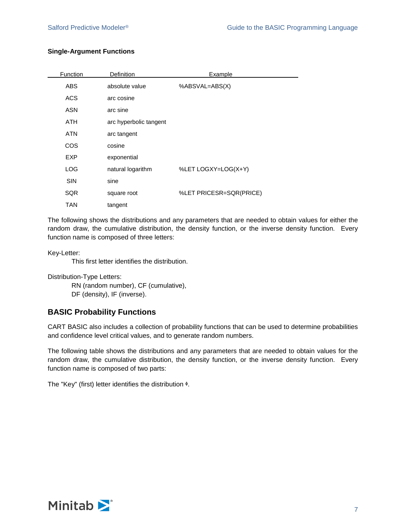#### **Single-Argument Functions**

| Function   | Definition             | Example                 |
|------------|------------------------|-------------------------|
| ABS        | absolute value         | %ABSVAL=ABS(X)          |
| <b>ACS</b> | arc cosine             |                         |
| <b>ASN</b> | arc sine               |                         |
| <b>ATH</b> | arc hyperbolic tangent |                         |
| <b>ATN</b> | arc tangent            |                         |
| <b>COS</b> | cosine                 |                         |
| <b>EXP</b> | exponential            |                         |
| LOG        | natural logarithm      | %LET LOGXY=LOG(X+Y)     |
| <b>SIN</b> | sine                   |                         |
| <b>SQR</b> | square root            | %LET PRICESR=SQR(PRICE) |
| TAN        | tangent                |                         |

The following shows the distributions and any parameters that are needed to obtain values for either the random draw, the cumulative distribution, the density function, or the inverse density function. Every function name is composed of three letters:

Key-Letter:

This first letter identifies the distribution.

Distribution-Type Letters:

RN (random number), CF (cumulative),

DF (density), IF (inverse).

### **BASIC Probability Functions**

CART BASIC also includes a collection of probability functions that can be used to determine probabilities and confidence level critical values, and to generate random numbers.

The following table shows the distributions and any parameters that are needed to obtain values for the random draw, the cumulative distribution, the density function, or the inverse density function. Every function name is composed of two parts:

The "Key" (first) letter identifies the distribution  $\phi$ .

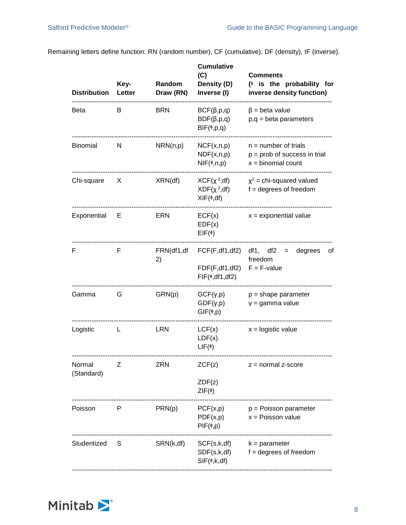Remaining letters define function: RN (random number), CF (cumulative), DF (density), IF (inverse).

| <b>Distribution</b>  | Key-<br>Letter | Random<br>Draw (RN) | <b>Cumulative</b><br>(C)<br>Density (D)<br>Inverse (I)                              | <b>Comments</b><br>$(*)$ is the probability for<br>inverse density function)         |
|----------------------|----------------|---------------------|-------------------------------------------------------------------------------------|--------------------------------------------------------------------------------------|
| Beta                 | B              | <b>BRN</b>          | $BCF(\beta,p,q)$<br>$BDF(\beta,p,q)$<br>$BIF(*,p,q)$                                | $\beta$ = beta value<br>$p,q = beta$ parameters                                      |
| Binomial             | N              | NRN(n,p)            | NCF(x, n, p)<br>NDF(x, n, p)<br>$NIF(\phi, n, p)$                                   | $n =$ number of trials<br>$p = prob$ of success in trial<br>$x = binomial count$     |
| Chi-square           | X.             | XRN(df)             | $XCF(\chi^2, df)$<br>$XDF(\chi^2, df)$<br>$XIF(\phi, df)$                           | $x^2$ = chi-squared valued<br>$f = degrees of freedom$                               |
| Exponential          | Е              | ERN                 | ECF(x)<br>EDF(x)<br>$EIF(\phi)$                                                     | $x =$ exponential value                                                              |
| F                    | F              | 2)                  | FDF(F, df1, df2)<br>$FIF(\phi, df1, df2)$                                           | $FRN(df1, df FCF(F, df1, df2) df1, df2 = degrees$<br>0t<br>freedom<br>$F = F$ -value |
| Gamma                | G              | GRN(p)              | GCF(Y, p)<br>$GDF(\gamma,p)$<br>$GIF(\phi, p)$                                      | $p = shape parameter$<br>$y =$ gamma value                                           |
| Logistic             | L.             | <b>LRN</b>          | LCF(x)<br>LDF(x)<br>$LIF(\phi)$                                                     | $x =$ logistic value                                                                 |
| Normal<br>(Standard) | Ζ              | <b>ZRN</b>          | ZCF(z)<br>ZDF(z)<br>$ZIF(\phi)$                                                     | $z = normal z-score$                                                                 |
| Poisson              | P              | PRN(p)              | PCF(x,p)<br>PDF(x,p)<br>$PIF(\phi, p)$                                              | $p = Poisson parameter$<br>$x = Poisson value$                                       |
| Studentized          | S              | SRN(k,df)           | SCF(s, k, df)<br>$\mathsf{SDF}(\mathsf{s},\mathsf{k},\mathsf{df})$<br>$SIF(*,k,df)$ | $k = parameter$<br>$f = degrees of freedom$                                          |

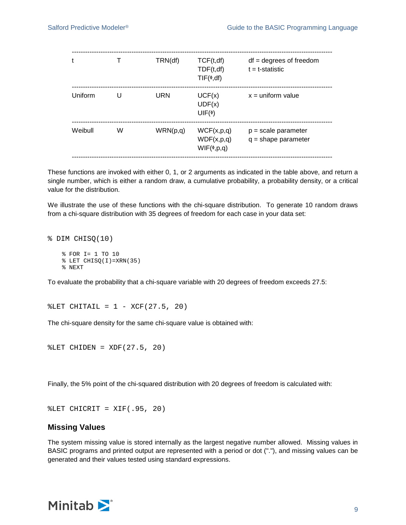| t       |   | TRN(df)  | TCF(t, df)<br>TDF(t, df)<br>$TIF(*,df)$       | $df = degrees of freedom$<br>$t = t$ -statistic |
|---------|---|----------|-----------------------------------------------|-------------------------------------------------|
| Uniform | U | URN      | UCF(x)<br>UDF(x)<br>$UIF(\phi)$               | $x =$ uniform value                             |
| Weibull | W | WRN(p,q) | WCF(x,p,q)<br>WDF(x,p,q)<br>$WIF(\phi, p, q)$ | $p = scale parameter$<br>$q = shape parameter$  |

These functions are invoked with either 0, 1, or 2 arguments as indicated in the table above, and return a single number, which is either a random draw, a cumulative probability, a probability density, or a critical value for the distribution.

We illustrate the use of these functions with the chi-square distribution. To generate 10 random draws from a chi-square distribution with 35 degrees of freedom for each case in your data set:

```
% DIM CHISQ(10)
```

```
% FOR I= 1 TO 10
% LET CHISQ(I)=XRN(35)
% NEXT
```
To evaluate the probability that a chi-square variable with 20 degrees of freedom exceeds 27.5:

 $EET CHITAIL = 1 - XCF(27.5, 20)$ 

The chi-square density for the same chi-square value is obtained with:

%LET CHIDEN = XDF(27.5, 20)

Finally, the 5% point of the chi-squared distribution with 20 degrees of freedom is calculated with:

```
EET CHICRIT = XIF(.95, 20)
```
#### **Missing Values**

The system missing value is stored internally as the largest negative number allowed. Missing values in BASIC programs and printed output are represented with a period or dot ("."), and missing values can be generated and their values tested using standard expressions.

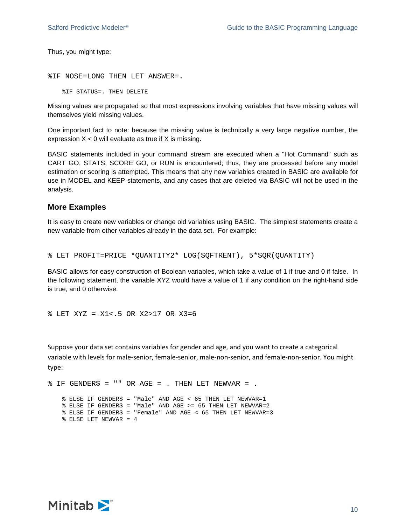Thus, you might type:

```
%IF NOSE=LONG THEN LET ANSWER=.
```
%IF STATUS=. THEN DELETE

Missing values are propagated so that most expressions involving variables that have missing values will themselves yield missing values.

One important fact to note: because the missing value is technically a very large negative number, the expression  $X < 0$  will evaluate as true if X is missing.

BASIC statements included in your command stream are executed when a "Hot Command" such as CART GO, STATS, SCORE GO, or RUN is encountered; thus, they are processed before any model estimation or scoring is attempted. This means that any new variables created in BASIC are available for use in MODEL and KEEP statements, and any cases that are deleted via BASIC will not be used in the analysis.

#### **More Examples**

It is easy to create new variables or change old variables using BASIC. The simplest statements create a new variable from other variables already in the data set. For example:

% LET PROFIT=PRICE \*QUANTITY2\* LOG(SQFTRENT), 5\*SQR(QUANTITY)

BASIC allows for easy construction of Boolean variables, which take a value of 1 if true and 0 if false. In the following statement, the variable XYZ would have a value of 1 if any condition on the right-hand side is true, and 0 otherwise.

% LET XYZ = X1<.5 OR X2>17 OR X3=6

Suppose your data set contains variables for gender and age, and you want to create a categorical variable with levels for male-senior, female-senior, male-non-senior, and female-non-senior. You might type:

```
$IF GENDER$ = "" OR AGE = . THEN LET NEWVAR = .
   % ELSE IF GENDER$ = "Male" AND AGE < 65 THEN LET NEWVAR=1
   % ELSE IF GENDER$ = "Male" AND AGE >= 65 THEN LET NEWVAR=2
   % ELSE IF GENDER$ = "Female" AND AGE < 65 THEN LET NEWVAR=3
   % ELSE LET NEWVAR = 4
```
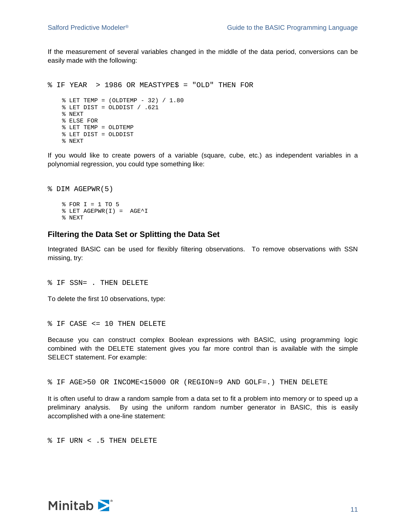If the measurement of several variables changed in the middle of the data period, conversions can be easily made with the following:

```
% IF YEAR > 1986 OR MEASTYPE$ = "OLD" THEN FOR
   % LET TEMP = (OLDTEMP - 32) / 1.80
   % LET DIST = OLDDIST / .621
   % NEXT
   % ELSE FOR
   % LET TEMP = OLDTEMP
   % LET DIST = OLDDIST
   % NEXT
```
If you would like to create powers of a variable (square, cube, etc.) as independent variables in a polynomial regression, you could type something like:

```
% DIM AGEPWR(5)
   % FOR I = 1 TO 5
   % LET AGEPWR(I) = AGE^I
   % NEXT
```
#### **Filtering the Data Set or Splitting the Data Set**

Integrated BASIC can be used for flexibly filtering observations. To remove observations with SSN missing, try:

% IF SSN= . THEN DELETE

To delete the first 10 observations, type:

```
% IF CASE <= 10 THEN DELETE
```
Because you can construct complex Boolean expressions with BASIC, using programming logic combined with the DELETE statement gives you far more control than is available with the simple SELECT statement. For example:

```
% IF AGE>50 OR INCOME<15000 OR (REGION=9 AND GOLF=.) THEN DELETE
```
It is often useful to draw a random sample from a data set to fit a problem into memory or to speed up a preliminary analysis. By using the uniform random number generator in BASIC, this is easily accomplished with a one-line statement:

% IF URN < .5 THEN DELETE

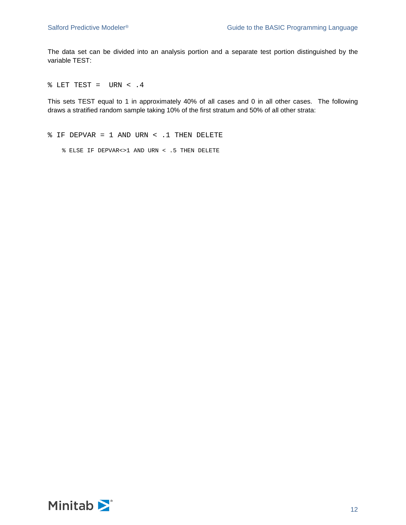The data set can be divided into an analysis portion and a separate test portion distinguished by the variable TEST:

 $\text{\$ }$  LET TEST = URN < .4

This sets TEST equal to 1 in approximately 40% of all cases and 0 in all other cases. The following draws a stratified random sample taking 10% of the first stratum and 50% of all other strata:

% IF DEPVAR = 1 AND URN < .1 THEN DELETE

% ELSE IF DEPVAR<>1 AND URN < .5 THEN DELETE

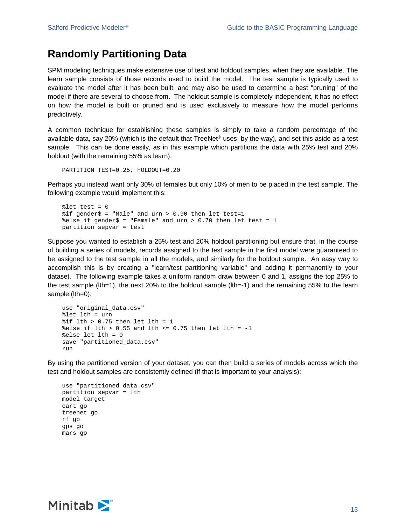## **Randomly Partitioning Data**

SPM modeling techniques make extensive use of test and holdout samples, when they are available. The learn sample consists of those records used to build the model. The test sample is typically used to evaluate the model after it has been built, and may also be used to determine a best "pruning" of the model if there are several to choose from. The holdout sample is completely independent, it has no effect on how the model is built or pruned and is used exclusively to measure how the model performs predictively.

A common technique for establishing these samples is simply to take a random percentage of the available data, say 20% (which is the default that TreeNet<sup>®</sup> uses, by the way), and set this aside as a test sample. This can be done easily, as in this example which partitions the data with 25% test and 20% holdout (with the remaining 55% as learn):

PARTITION TEST=0.25, HOLDOUT=0.20

Perhaps you instead want only 30% of females but only 10% of men to be placed in the test sample. The following example would implement this:

```
% let test = 0sif gender$ = "Male" and urn > 0.90 then let test=1
%else if gender$ = "Female" and urn > 0.70 then let test = 1
partition sepvar = test
```
Suppose you wanted to establish a 25% test and 20% holdout partitioning but ensure that, in the course of building a series of models, records assigned to the test sample in the first model were guaranteed to be assigned to the test sample in all the models, and similarly for the holdout sample. An easy way to accomplish this is by creating a "learn/test partitioning variable" and adding it permanently to your dataset. The following example takes a uniform random draw between 0 and 1, assigns the top 25% to the test sample (lth=1), the next 20% to the holdout sample (lth=-1) and the remaining 55% to the learn sample (lth=0):

```
use "original_data.csv"
%let lth = urn
% i f lth > 0.75 then let lth = 1
%else if lth > 0.55 and lth <= 0.75 then let lth = -1%else let lth = 0
save "partitioned_data.csv"
run
```
By using the partitioned version of your dataset, you can then build a series of models across which the test and holdout samples are consistently defined (if that is important to your analysis):

```
use "partitioned_data.csv"
partition sepvar = lth
model target
cart go
treenet go
rf go
gps go
mars go
```
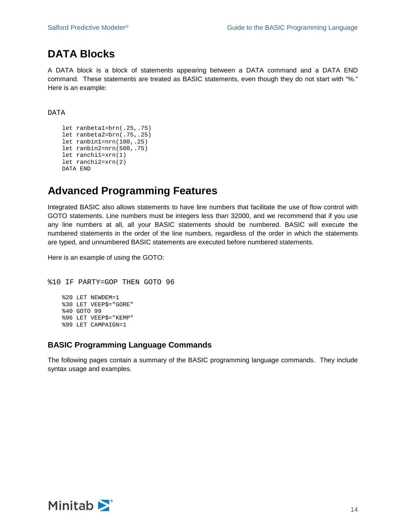## **DATA Blocks**

A DATA block is a block of statements appearing between a DATA command and a DATA END command. These statements are treated as BASIC statements, even though they do not start with "%." Here is an example:

DATA

```
let ranbeta1=brn(.25,.75)
let ranbeta2=brn(.75,.25)
let ranbin1=nrn(100,.25)
let ranbin2=nrn(500,.75)
let ranchi1=xrn(1)
let ranchi2=xrn(2)
DATA END
```
## **Advanced Programming Features**

Integrated BASIC also allows statements to have line numbers that facilitate the use of flow control with GOTO statements. Line numbers must be integers less than 32000, and we recommend that if you use any line numbers at all, all your BASIC statements should be numbered. BASIC will execute the numbered statements in the order of the line numbers, regardless of the order in which the statements are typed, and unnumbered BASIC statements are executed before numbered statements.

Here is an example of using the GOTO:

```
%10 IF PARTY=GOP THEN GOTO 96
   %20 LET NEWDEM=1
   %30 LET VEEP$="GORE"
   %40 GOTO 99
   %96 LET VEEP$="KEMP"
   %99 LET CAMPAIGN=1
```
### **BASIC Programming Language Commands**

The following pages contain a summary of the BASIC programming language commands. They include syntax usage and examples.

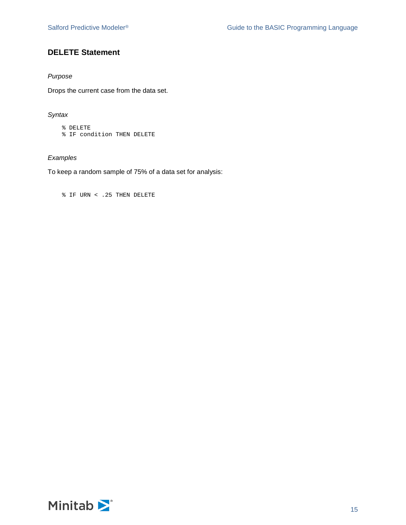## **DELETE Statement**

#### *Purpose*

Drops the current case from the data set.

#### *Syntax*

% DELETE % IF condition THEN DELETE

## *Examples*

To keep a random sample of 75% of a data set for analysis:

```
% IF URN < .25 THEN DELETE
```
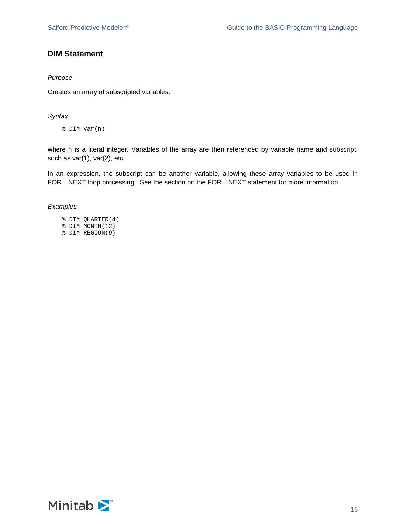## **DIM Statement**

#### *Purpose*

Creates an array of subscripted variables.

#### *Syntax*

% DIM var(n)

where n is a literal integer. Variables of the array are then referenced by variable name and subscript, such as var(1), var(2), etc.

In an expression, the subscript can be another variable, allowing these array variables to be used in FOR…NEXT loop processing. See the section on the FOR…NEXT statement for more information.

#### *Examples*

- % DIM QUARTER(4)
- % DIM MONTH(12)
- % DIM REGION(9)

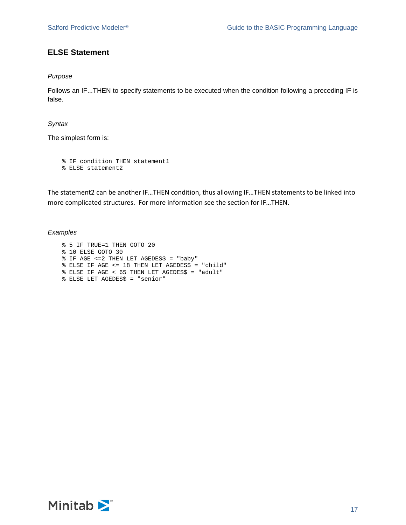## **ELSE Statement**

#### *Purpose*

Follows an IF...THEN to specify statements to be executed when the condition following a preceding IF is false.

#### *Syntax*

The simplest form is:

```
% IF condition THEN statement1
% ELSE statement2
```
The statement2 can be another IF…THEN condition, thus allowing IF…THEN statements to be linked into more complicated structures. For more information see the section for IF…THEN.

#### *Examples*

```
% 5 IF TRUE=1 THEN GOTO 20
% 10 ELSE GOTO 30
% IF AGE <=2 THEN LET AGEDES$ = "baby"
% ELSE IF AGE <= 18 THEN LET AGEDES$ = "child"
% ELSE IF AGE < 65 THEN LET AGEDES$ = "adult"
% ELSE LET AGEDES$ = "senior"
```
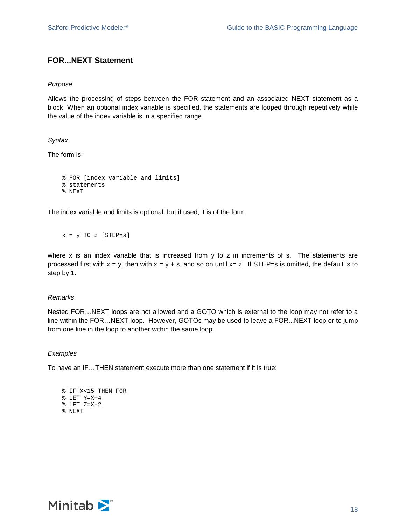## **FOR...NEXT Statement**

#### *Purpose*

Allows the processing of steps between the FOR statement and an associated NEXT statement as a block. When an optional index variable is specified, the statements are looped through repetitively while the value of the index variable is in a specified range.

#### *Syntax*

The form is:

```
% FOR [index variable and limits]
% statements
% NEXT
```
The index variable and limits is optional, but if used, it is of the form

```
x = y TO z [STEP=s]
```
where x is an index variable that is increased from y to z in increments of s. The statements are processed first with  $x = y$ , then with  $x = y + s$ , and so on until  $x = z$ . If STEP=s is omitted, the default is to step by 1.

#### *Remarks*

Nested FOR…NEXT loops are not allowed and a GOTO which is external to the loop may not refer to a line within the FOR…NEXT loop. However, GOTOs may be used to leave a FOR...NEXT loop or to jump from one line in the loop to another within the same loop.

#### *Examples*

To have an IF…THEN statement execute more than one statement if it is true:

```
% IF X<15 THEN FOR
% LET Y=X+4
% LET Z=X-2
% NEXT
```
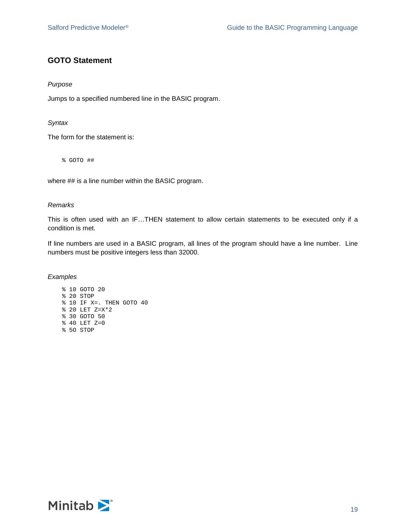## **GOTO Statement**

#### *Purpose*

Jumps to a specified numbered line in the BASIC program.

#### *Syntax*

The form for the statement is:

% GOTO ##

where ## is a line number within the BASIC program.

#### *Remarks*

This is often used with an IF…THEN statement to allow certain statements to be executed only if a condition is met.

If line numbers are used in a BASIC program, all lines of the program should have a line number. Line numbers must be positive integers less than 32000.

#### *Examples*

% 10 GOTO 20 % 20 STOP % 10 IF X=. THEN GOTO 40 % 20 LET Z=X\*2 % 30 GOTO 50 % 40 LET Z=0 % 5O STOP

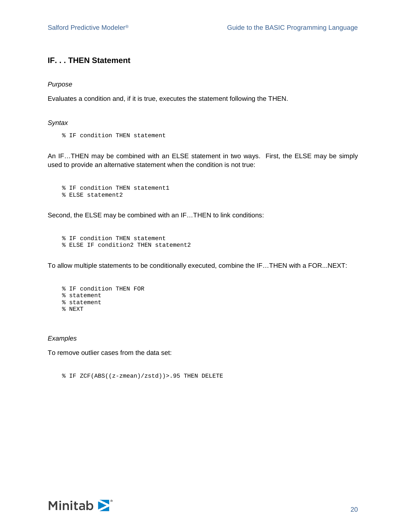### **IF. . . THEN Statement**

#### *Purpose*

Evaluates a condition and, if it is true, executes the statement following the THEN.

#### *Syntax*

% IF condition THEN statement

An IF…THEN may be combined with an ELSE statement in two ways. First, the ELSE may be simply used to provide an alternative statement when the condition is not true:

```
% IF condition THEN statement1
% ELSE statement2
```
Second, the ELSE may be combined with an IF…THEN to link conditions:

```
% IF condition THEN statement
% ELSE IF condition2 THEN statement2
```
To allow multiple statements to be conditionally executed, combine the IF…THEN with a FOR...NEXT:

% IF condition THEN FOR % statement % statement % NEXT

#### *Examples*

To remove outlier cases from the data set:

% IF ZCF(ABS((z-zmean)/zstd))>.95 THEN DELETE

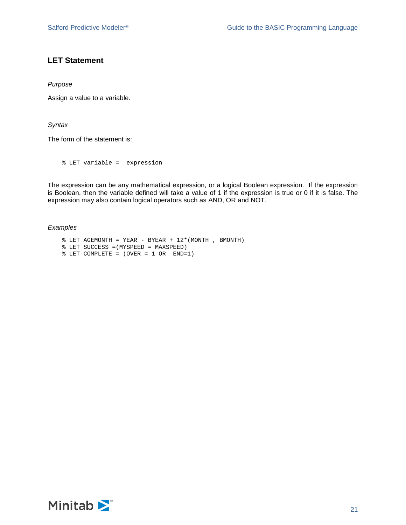## **LET Statement**

*Purpose*

Assign a value to a variable.

*Syntax*

The form of the statement is:

% LET variable = expression

The expression can be any mathematical expression, or a logical Boolean expression. If the expression is Boolean, then the variable defined will take a value of 1 if the expression is true or 0 if it is false. The expression may also contain logical operators such as AND, OR and NOT.

#### *Examples*

- $\text{\$ }$  LET AGEMONTH = YEAR BYEAR + 12\* (MONTH , BMONTH)
- % LET SUCCESS =(MYSPEED = MAXSPEED)
- % LET COMPLETE = (OVER = 1 OR END=1)